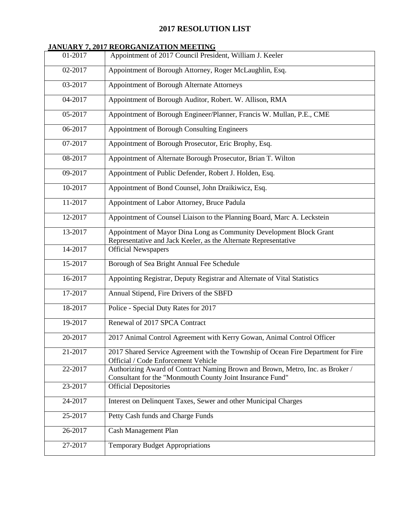#### **2017 RESOLUTION LIST**

#### **JANUARY 7, 2017 REORGANIZATION MEETING**

| 01-2017 | *************************************<br>Appointment of 2017 Council President, William J. Keeler                                          |
|---------|--------------------------------------------------------------------------------------------------------------------------------------------|
| 02-2017 | Appointment of Borough Attorney, Roger McLaughlin, Esq.                                                                                    |
| 03-2017 | Appointment of Borough Alternate Attorneys                                                                                                 |
| 04-2017 | Appointment of Borough Auditor, Robert. W. Allison, RMA                                                                                    |
| 05-2017 | Appointment of Borough Engineer/Planner, Francis W. Mullan, P.E., CME                                                                      |
| 06-2017 | Appointment of Borough Consulting Engineers                                                                                                |
| 07-2017 | Appointment of Borough Prosecutor, Eric Brophy, Esq.                                                                                       |
| 08-2017 | Appointment of Alternate Borough Prosecutor, Brian T. Wilton                                                                               |
| 09-2017 | Appointment of Public Defender, Robert J. Holden, Esq.                                                                                     |
| 10-2017 | Appointment of Bond Counsel, John Draikiwicz, Esq.                                                                                         |
| 11-2017 | Appointment of Labor Attorney, Bruce Padula                                                                                                |
| 12-2017 | Appointment of Counsel Liaison to the Planning Board, Marc A. Leckstein                                                                    |
| 13-2017 | Appointment of Mayor Dina Long as Community Development Block Grant<br>Representative and Jack Keeler, as the Alternate Representative     |
| 14-2017 | <b>Official Newspapers</b>                                                                                                                 |
| 15-2017 | Borough of Sea Bright Annual Fee Schedule                                                                                                  |
| 16-2017 | Appointing Registrar, Deputy Registrar and Alternate of Vital Statistics                                                                   |
| 17-2017 | Annual Stipend, Fire Drivers of the SBFD                                                                                                   |
| 18-2017 | Police - Special Duty Rates for 2017                                                                                                       |
| 19-2017 | Renewal of 2017 SPCA Contract                                                                                                              |
| 20-2017 | 2017 Animal Control Agreement with Kerry Gowan, Animal Control Officer                                                                     |
| 21-2017 | 2017 Shared Service Agreement with the Township of Ocean Fire Department for Fire<br>Official / Code Enforcement Vehicle                   |
| 22-2017 | Authorizing Award of Contract Naming Brown and Brown, Metro, Inc. as Broker /<br>Consultant for the "Monmouth County Joint Insurance Fund" |
| 23-2017 | <b>Official Depositories</b>                                                                                                               |
| 24-2017 | Interest on Delinquent Taxes, Sewer and other Municipal Charges                                                                            |
| 25-2017 | Petty Cash funds and Charge Funds                                                                                                          |
| 26-2017 | Cash Management Plan                                                                                                                       |
| 27-2017 | <b>Temporary Budget Appropriations</b>                                                                                                     |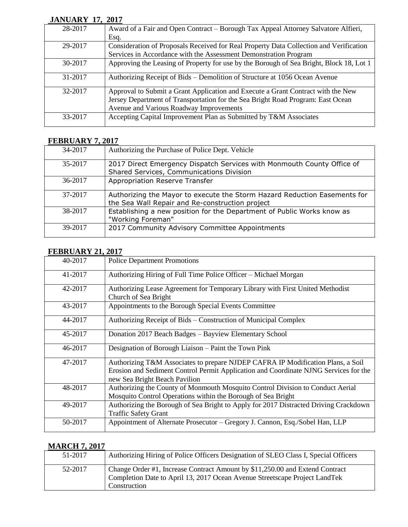#### **JANUARY 17, 2017**

| 28-2017 | Award of a Fair and Open Contract - Borough Tax Appeal Attorney Salvatore Alfieri,      |
|---------|-----------------------------------------------------------------------------------------|
|         | Esq.                                                                                    |
| 29-2017 | Consideration of Proposals Received for Real Property Data Collection and Verification  |
|         | Services in Accordance with the Assessment Demonstration Program                        |
| 30-2017 | Approving the Leasing of Property for use by the Borough of Sea Bright, Block 18, Lot 1 |
| 31-2017 | Authorizing Receipt of Bids – Demolition of Structure at 1056 Ocean Avenue              |
| 32-2017 | Approval to Submit a Grant Application and Execute a Grant Contract with the New        |
|         | Jersey Department of Transportation for the Sea Bright Road Program: East Ocean         |
|         | Avenue and Various Roadway Improvements                                                 |
| 33-2017 | Accepting Capital Improvement Plan as Submitted by T&M Associates                       |

#### **FEBRUARY 7, 2017**

| 34-2017 | Authorizing the Purchase of Police Dept. Vehicle                                                                             |
|---------|------------------------------------------------------------------------------------------------------------------------------|
| 35-2017 | 2017 Direct Emergency Dispatch Services with Monmouth County Office of<br>Shared Services, Communications Division           |
| 36-2017 | Appropriation Reserve Transfer                                                                                               |
| 37-2017 | Authorizing the Mayor to execute the Storm Hazard Reduction Easements for<br>the Sea Wall Repair and Re-construction project |
| 38-2017 | Establishing a new position for the Department of Public Works know as<br>"Working Foreman"                                  |
| 39-2017 | 2017 Community Advisory Committee Appointments                                                                               |

## **FEBRUARY 21, 2017**

| 40-2017 | <b>Police Department Promotions</b>                                                                                                                                                                      |
|---------|----------------------------------------------------------------------------------------------------------------------------------------------------------------------------------------------------------|
| 41-2017 | Authorizing Hiring of Full Time Police Officer – Michael Morgan                                                                                                                                          |
| 42-2017 | Authorizing Lease Agreement for Temporary Library with First United Methodist<br>Church of Sea Bright                                                                                                    |
| 43-2017 | Appointments to the Borough Special Events Committee                                                                                                                                                     |
| 44-2017 | Authorizing Receipt of Bids – Construction of Municipal Complex                                                                                                                                          |
| 45-2017 | Donation 2017 Beach Badges - Bayview Elementary School                                                                                                                                                   |
| 46-2017 | Designation of Borough Liaison - Paint the Town Pink                                                                                                                                                     |
| 47-2017 | Authorizing T&M Associates to prepare NJDEP CAFRA IP Modification Plans, a Soil<br>Erosion and Sediment Control Permit Application and Coordinate NJNG Services for the<br>new Sea Bright Beach Pavilion |
| 48-2017 | Authorizing the County of Monmouth Mosquito Control Division to Conduct Aerial<br>Mosquito Control Operations within the Borough of Sea Bright                                                           |
| 49-2017 | Authorizing the Borough of Sea Bright to Apply for 2017 Distracted Driving Crackdown<br><b>Traffic Safety Grant</b>                                                                                      |
| 50-2017 | Appointment of Alternate Prosecutor - Gregory J. Cannon, Esq./Sobel Han, LLP                                                                                                                             |

## **MARCH 7, 2017**

| 51-2017 | Authorizing Hiring of Police Officers Designation of SLEO Class I, Special Officers                                                                                        |
|---------|----------------------------------------------------------------------------------------------------------------------------------------------------------------------------|
| 52-2017 | Change Order #1, Increase Contract Amount by \$11,250.00 and Extend Contract<br>Completion Date to April 13, 2017 Ocean Avenue Streetscape Project LandTek<br>Construction |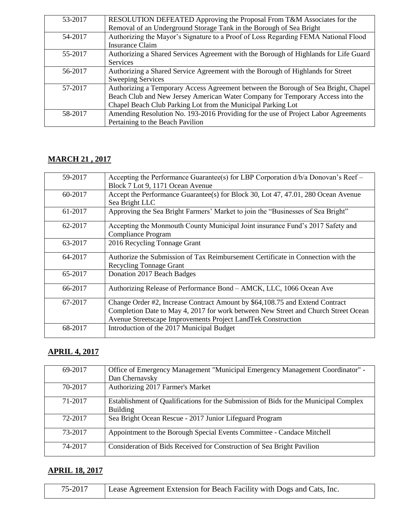| 53-2017 | RESOLUTION DEFEATED Approving the Proposal From T&M Associates for the               |
|---------|--------------------------------------------------------------------------------------|
|         | Removal of an Underground Storage Tank in the Borough of Sea Bright                  |
| 54-2017 | Authorizing the Mayor's Signature to a Proof of Loss Regarding FEMA National Flood   |
|         | Insurance Claim                                                                      |
| 55-2017 | Authorizing a Shared Services Agreement with the Borough of Highlands for Life Guard |
|         | <b>Services</b>                                                                      |
| 56-2017 | Authorizing a Shared Service Agreement with the Borough of Highlands for Street      |
|         | <b>Sweeping Services</b>                                                             |
| 57-2017 | Authorizing a Temporary Access Agreement between the Borough of Sea Bright, Chapel   |
|         | Beach Club and New Jersey American Water Company for Temporary Access into the       |
|         | Chapel Beach Club Parking Lot from the Municipal Parking Lot                         |
| 58-2017 | Amending Resolution No. 193-2016 Providing for the use of Project Labor Agreements   |
|         | Pertaining to the Beach Pavilion                                                     |

# **MARCH 21 , 2017**

| 59-2017 | Accepting the Performance Guarantee(s) for LBP Corporation d/b/a Donovan's Reef –  |
|---------|------------------------------------------------------------------------------------|
|         | Block 7 Lot 9, 1171 Ocean Avenue                                                   |
| 60-2017 | Accept the Performance Guarantee(s) for Block 30, Lot 47, 47.01, 280 Ocean Avenue  |
|         | Sea Bright LLC                                                                     |
| 61-2017 | Approving the Sea Bright Farmers' Market to join the "Businesses of Sea Bright"    |
| 62-2017 | Accepting the Monmouth County Municipal Joint insurance Fund's 2017 Safety and     |
|         | <b>Compliance Program</b>                                                          |
| 63-2017 | 2016 Recycling Tonnage Grant                                                       |
| 64-2017 | Authorize the Submission of Tax Reimbursement Certificate in Connection with the   |
|         | <b>Recycling Tonnage Grant</b>                                                     |
| 65-2017 | Donation 2017 Beach Badges                                                         |
| 66-2017 | Authorizing Release of Performance Bond – AMCK, LLC, 1066 Ocean Ave                |
| 67-2017 | Change Order #2, Increase Contract Amount by \$64,108.75 and Extend Contract       |
|         | Completion Date to May 4, 2017 for work between New Street and Church Street Ocean |
|         | Avenue Streetscape Improvements Project LandTek Construction                       |
| 68-2017 | Introduction of the 2017 Municipal Budget                                          |
|         |                                                                                    |

# **APRIL 4, 2017**

| 69-2017 | Office of Emergency Management "Municipal Emergency Management Coordinator" -        |
|---------|--------------------------------------------------------------------------------------|
|         | Dan Chernavsky                                                                       |
| 70-2017 | Authorizing 2017 Farmer's Market                                                     |
|         |                                                                                      |
| 71-2017 | Establishment of Qualifications for the Submission of Bids for the Municipal Complex |
|         | <b>Building</b>                                                                      |
| 72-2017 | Sea Bright Ocean Rescue - 2017 Junior Lifeguard Program                              |
|         |                                                                                      |
| 73-2017 | Appointment to the Borough Special Events Committee - Candace Mitchell               |
| 74-2017 | Consideration of Bids Received for Construction of Sea Bright Pavilion               |
|         |                                                                                      |

# **APRIL 18, 2017**

| 75-2017<br>Lease Agreement Extension for Beach Facility with Dogs and Cats, Inc. |
|----------------------------------------------------------------------------------|
|----------------------------------------------------------------------------------|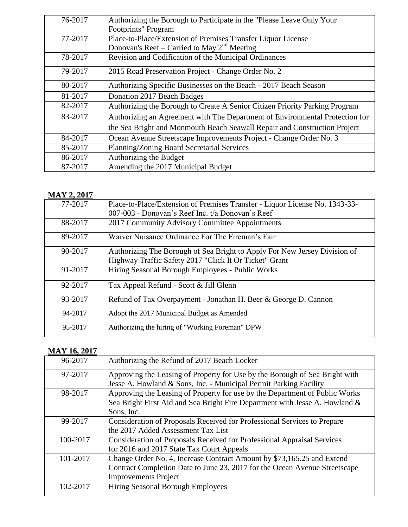| 76-2017 | Authorizing the Borough to Participate in the "Please Leave Only Your        |
|---------|------------------------------------------------------------------------------|
|         | Footprints" Program                                                          |
|         |                                                                              |
| 77-2017 | Place-to-Place/Extension of Premises Transfer Liquor License                 |
|         | Donovan's Reef – Carried to May $2^{nd}$ Meeting                             |
| 78-2017 | Revision and Codification of the Municipal Ordinances                        |
|         |                                                                              |
| 79-2017 | 2015 Road Preservation Project - Change Order No. 2                          |
|         |                                                                              |
| 80-2017 | Authorizing Specific Businesses on the Beach - 2017 Beach Season             |
| 81-2017 | Donation 2017 Beach Badges                                                   |
|         |                                                                              |
| 82-2017 | Authorizing the Borough to Create A Senior Citizen Priority Parking Program  |
| 83-2017 | Authorizing an Agreement with The Department of Environmental Protection for |
|         | the Sea Bright and Monmouth Beach Seawall Repair and Construction Project    |
| 84-2017 | Ocean Avenue Streetscape Improvements Project - Change Order No. 3           |
| 85-2017 | Planning/Zoning Board Secretarial Services                                   |
| 86-2017 | Authorizing the Budget                                                       |
| 87-2017 | Amending the 2017 Municipal Budget                                           |

#### **MAY 2, 2017**

| 77-2017 | Place-to-Place/Extension of Premises Transfer - Liquor License No. 1343-33-                                                         |
|---------|-------------------------------------------------------------------------------------------------------------------------------------|
|         | 007-003 - Donovan's Reef Inc. t/a Donovan's Reef                                                                                    |
| 88-2017 | 2017 Community Advisory Committee Appointments                                                                                      |
| 89-2017 | Waiver Nuisance Ordinance For The Fireman's Fair                                                                                    |
| 90-2017 | Authorizing The Borough of Sea Bright to Apply For New Jersey Division of<br>Highway Traffic Safety 2017 "Click It Or Ticket" Grant |
| 91-2017 | Hiring Seasonal Borough Employees - Public Works                                                                                    |
| 92-2017 | Tax Appeal Refund - Scott & Jill Glenn                                                                                              |
| 93-2017 | Refund of Tax Overpayment - Jonathan H. Beer & George D. Cannon                                                                     |
| 94-2017 | Adopt the 2017 Municipal Budget as Amended                                                                                          |
| 95-2017 | Authorizing the hiring of "Working Foreman" DPW                                                                                     |

# **MAY 16, 2017**

| 96-2017  | Authorizing the Refund of 2017 Beach Locker                                 |
|----------|-----------------------------------------------------------------------------|
| 97-2017  | Approving the Leasing of Property for Use by the Borough of Sea Bright with |
|          | Jesse A. Howland & Sons, Inc. - Municipal Permit Parking Facility           |
| 98-2017  | Approving the Leasing of Property for use by the Department of Public Works |
|          | Sea Bright First Aid and Sea Bright Fire Department with Jesse A. Howland & |
|          | Sons, Inc.                                                                  |
| 99-2017  | Consideration of Proposals Received for Professional Services to Prepare    |
|          | the 2017 Added Assessment Tax List                                          |
| 100-2017 | Consideration of Proposals Received for Professional Appraisal Services     |
|          | for 2016 and 2017 State Tax Court Appeals                                   |
| 101-2017 | Change Order No. 4, Increase Contract Amount by \$73,165.25 and Extend      |
|          | Contract Completion Date to June 23, 2017 for the Ocean Avenue Streetscape  |
|          | <b>Improvements Project</b>                                                 |
| 102-2017 | <b>Hiring Seasonal Borough Employees</b>                                    |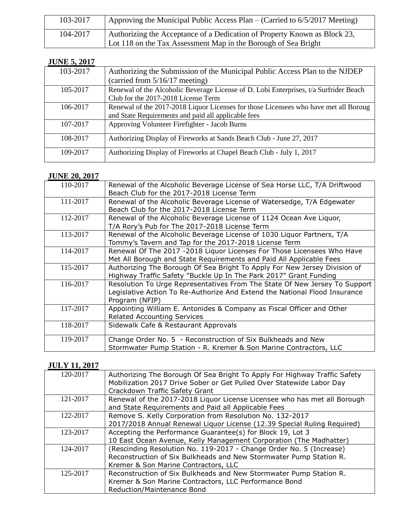| 103-2017 | Approving the Municipal Public Access Plan – (Carried to 6/5/2017 Meeting)                                                                  |
|----------|---------------------------------------------------------------------------------------------------------------------------------------------|
| 104-2017 | Authorizing the Acceptance of a Dedication of Property Known as Block 23,<br>Lot 118 on the Tax Assessment Map in the Borough of Sea Bright |

#### **JUNE 5, 2017**

| 103-2017 | Authorizing the Submission of the Municipal Public Access Plan to the NJDEP           |
|----------|---------------------------------------------------------------------------------------|
|          | (carried from 5/16/17 meeting)                                                        |
| 105-2017 | Renewal of the Alcoholic Beverage License of D. Lobi Enterprises, t/a Surfrider Beach |
|          | Club for the 2017-2018 License Term                                                   |
| 106-2017 | Renewal of the 2017-2018 Liquor Licenses for those Licensees who have met all Boroug  |
|          | and State Requirements and paid all applicable fees                                   |
| 107-2017 | Approving Volunteer Firefighter - Jacob Burns                                         |
| 108-2017 | Authorizing Display of Fireworks at Sands Beach Club - June 27, 2017                  |
| 109-2017 | Authorizing Display of Fireworks at Chapel Beach Club - July 1, 2017                  |

#### **JUNE 20, 2017**

| Renewal of the Alcoholic Beverage License of Sea Horse LLC, T/A Driftwood  |
|----------------------------------------------------------------------------|
| Beach Club for the 2017-2018 License Term                                  |
| Renewal of the Alcoholic Beverage License of Watersedge, T/A Edgewater     |
| Beach Club for the 2017-2018 License Term                                  |
| Renewal of the Alcoholic Beverage License of 1124 Ocean Ave Liquor,        |
| T/A Rory's Pub for The 2017-2018 License Term                              |
| Renewal of the Alcoholic Beverage License of 1030 Liquor Partners, T/A     |
| Tommy's Tavern and Tap for the 2017-2018 License Term                      |
| Renewal Of The 2017 -2018 Liquor Licenses For Those Licensees Who Have     |
| Met All Borough and State Requirements and Paid All Applicable Fees        |
| Authorizing The Borough Of Sea Bright To Apply For New Jersey Division of  |
| Highway Traffic Safety "Buckle Up In The Park 2017" Grant Funding          |
| Resolution To Urge Representatives From The State Of New Jersey To Support |
| Legislative Action To Re-Authorize And Extend the National Flood Insurance |
| Program (NFIP)                                                             |
| Appointing William E. Antonides & Company as Fiscal Officer and Other      |
| <b>Related Accounting Services</b>                                         |
| Sidewalk Cafe & Restaurant Approvals                                       |
|                                                                            |
| Change Order No. 5 - Reconstruction of Six Bulkheads and New               |
| Stormwater Pump Station - R. Kremer & Son Marine Contractors, LLC          |
|                                                                            |

#### **JULY 11, 2017**

| 120-2017 | Authorizing The Borough Of Sea Bright To Apply For Highway Traffic Safety |
|----------|---------------------------------------------------------------------------|
|          | Mobilization 2017 Drive Sober or Get Pulled Over Statewide Labor Day      |
|          | Crackdown Traffic Safety Grant                                            |
| 121-2017 | Renewal of the 2017-2018 Liquor License Licensee who has met all Borough  |
|          | and State Requirements and Paid all Applicable Fees                       |
| 122-2017 | Remove S. Kelly Corporation from Resolution No. 132-2017                  |
|          | 2017/2018 Annual Renewal Liquor License (12.39 Special Ruling Required)   |
| 123-2017 | Accepting the Performance Guarantee(s) for Block 19, Lot 3                |
|          | 10 East Ocean Avenue, Kelly Management Corporation (The Madhatter)        |
| 124-2017 | (Rescinding Resolution No. 119-2017 - Change Order No. 5 (Increase)       |
|          | Reconstruction of Six Bulkheads and New Stormwater Pump Station R.        |
|          | Kremer & Son Marine Contractors, LLC                                      |
| 125-2017 | Reconstruction of Six Bulkheads and New Stormwater Pump Station R.        |
|          | Kremer & Son Marine Contractors, LLC Performance Bond                     |
|          | Reduction/Maintenance Bond                                                |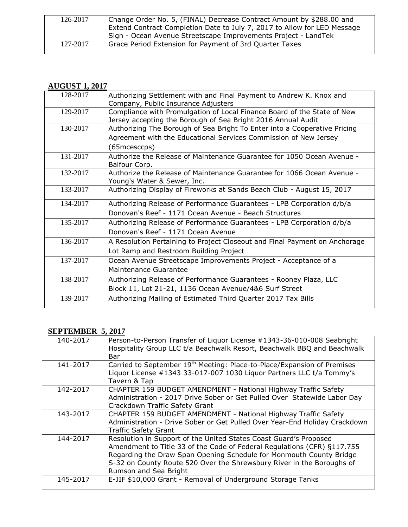| 126-2017 | Change Order No. 5, (FINAL) Decrease Contract Amount by \$288.00 and     |
|----------|--------------------------------------------------------------------------|
|          | Extend Contract Completion Date to July 7, 2017 to Allow for LED Message |
|          | Sign - Ocean Avenue Streetscape Improvements Project - LandTek           |
| 127-2017 | Grace Period Extension for Payment of 3rd Quarter Taxes                  |
|          |                                                                          |

#### **AUGUST 1, 2017**

| 128-2017 | Authorizing Settlement with and Final Payment to Andrew K. Knox and<br>Company, Public Insurance Adjusters                              |
|----------|-----------------------------------------------------------------------------------------------------------------------------------------|
| 129-2017 | Compliance with Promulgation of Local Finance Board of the State of New<br>Jersey accepting the Borough of Sea Bright 2016 Annual Audit |
| 130-2017 | Authorizing The Borough of Sea Bright To Enter into a Cooperative Pricing                                                               |
|          | Agreement with the Educational Services Commission of New Jersey                                                                        |
|          | (65mcesccps)                                                                                                                            |
| 131-2017 | Authorize the Release of Maintenance Guarantee for 1050 Ocean Avenue -<br>Balfour Corp.                                                 |
| 132-2017 | Authorize the Release of Maintenance Guarantee for 1066 Ocean Avenue -                                                                  |
|          | Young's Water & Sewer, Inc.                                                                                                             |
| 133-2017 | Authorizing Display of Fireworks at Sands Beach Club - August 15, 2017                                                                  |
| 134-2017 | Authorizing Release of Performance Guarantees - LPB Corporation d/b/a                                                                   |
|          | Donovan's Reef - 1171 Ocean Avenue - Beach Structures                                                                                   |
| 135-2017 | Authorizing Release of Performance Guarantees - LPB Corporation d/b/a                                                                   |
|          | Donovan's Reef - 1171 Ocean Avenue                                                                                                      |
| 136-2017 | A Resolution Pertaining to Project Closeout and Final Payment on Anchorage                                                              |
|          | Lot Ramp and Restroom Building Project                                                                                                  |
| 137-2017 | Ocean Avenue Streetscape Improvements Project - Acceptance of a                                                                         |
|          | Maintenance Guarantee                                                                                                                   |
| 138-2017 | Authorizing Release of Performance Guarantees - Rooney Plaza, LLC                                                                       |
|          | Block 11, Lot 21-21, 1136 Ocean Avenue/4&6 Surf Street                                                                                  |
| 139-2017 | Authorizing Mailing of Estimated Third Quarter 2017 Tax Bills                                                                           |

## **SEPTEMBER 5, 2017**

| 140-2017 | Person-to-Person Transfer of Liquor License #1343-36-010-008 Seabright<br>Hospitality Group LLC t/a Beachwalk Resort, Beachwalk BBQ and Beachwalk<br>Bar                                                                                                                                                              |
|----------|-----------------------------------------------------------------------------------------------------------------------------------------------------------------------------------------------------------------------------------------------------------------------------------------------------------------------|
| 141-2017 | Carried to September 19 <sup>th</sup> Meeting: Place-to-Place/Expansion of Premises<br>Liquor License #1343 33-017-007 1030 Liquor Partners LLC t/a Tommy's<br>Tavern & Tap                                                                                                                                           |
| 142-2017 | CHAPTER 159 BUDGET AMENDMENT - National Highway Traffic Safety<br>Administration - 2017 Drive Sober or Get Pulled Over Statewide Labor Day<br>Crackdown Traffic Safety Grant                                                                                                                                          |
| 143-2017 | CHAPTER 159 BUDGET AMENDMENT - National Highway Traffic Safety<br>Administration - Drive Sober or Get Pulled Over Year-End Holiday Crackdown<br><b>Traffic Safety Grant</b>                                                                                                                                           |
| 144-2017 | Resolution in Support of the United States Coast Guard's Proposed<br>Amendment to Title 33 of the Code of Federal Regulations (CFR) §117.755<br>Regarding the Draw Span Opening Schedule for Monmouth County Bridge<br>S-32 on County Route 520 Over the Shrewsbury River in the Boroughs of<br>Rumson and Sea Bright |
| 145-2017 | E-JIF \$10,000 Grant - Removal of Underground Storage Tanks                                                                                                                                                                                                                                                           |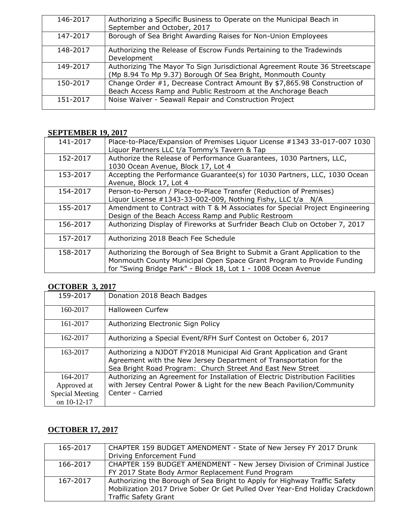| 146-2017 | Authorizing a Specific Business to Operate on the Municipal Beach in                                                                       |
|----------|--------------------------------------------------------------------------------------------------------------------------------------------|
|          | September and October, 2017                                                                                                                |
| 147-2017 | Borough of Sea Bright Awarding Raises for Non-Union Employees                                                                              |
| 148-2017 | Authorizing the Release of Escrow Funds Pertaining to the Tradewinds                                                                       |
|          | Development                                                                                                                                |
| 149-2017 | Authorizing The Mayor To Sign Jurisdictional Agreement Route 36 Streetscape<br>(Mp 8.94 To Mp 9.37) Borough Of Sea Bright, Monmouth County |
| 150-2017 | Change Order #1, Decrease Contract Amount By \$7,865.98 Construction of                                                                    |
|          | Beach Access Ramp and Public Restroom at the Anchorage Beach                                                                               |
| 151-2017 | Noise Waiver - Seawall Repair and Construction Project                                                                                     |
|          |                                                                                                                                            |

#### **SEPTEMBER 19, 2017**

| 141-2017 | Place-to-Place/Expansion of Premises Liquor License #1343 33-017-007 1030   |
|----------|-----------------------------------------------------------------------------|
|          | Liquor Partners LLC t/a Tommy's Tavern & Tap                                |
| 152-2017 | Authorize the Release of Performance Guarantees, 1030 Partners, LLC,        |
|          | 1030 Ocean Avenue, Block 17, Lot 4                                          |
| 153-2017 | Accepting the Performance Guarantee(s) for 1030 Partners, LLC, 1030 Ocean   |
|          | Avenue, Block 17, Lot 4                                                     |
| 154-2017 | Person-to-Person / Place-to-Place Transfer (Reduction of Premises)          |
|          | Liquor License #1343-33-002-009, Nothing Fishy, LLC t/a N/A                 |
| 155-2017 | Amendment to Contract with T & M Associates for Special Project Engineering |
|          | Design of the Beach Access Ramp and Public Restroom                         |
| 156-2017 | Authorizing Display of Fireworks at Surfrider Beach Club on October 7, 2017 |
| 157-2017 | Authorizing 2018 Beach Fee Schedule                                         |
|          |                                                                             |
| 158-2017 | Authorizing the Borough of Sea Bright to Submit a Grant Application to the  |
|          | Monmouth County Municipal Open Space Grant Program to Provide Funding       |
|          | for "Swing Bridge Park" - Block 18, Lot 1 - 1008 Ocean Avenue               |

## **OCTOBER 3, 2017**

| 159-2017        | Donation 2018 Beach Badges                                                                                                                                                                               |
|-----------------|----------------------------------------------------------------------------------------------------------------------------------------------------------------------------------------------------------|
| 160-2017        | <b>Halloween Curfew</b>                                                                                                                                                                                  |
| 161-2017        | Authorizing Electronic Sign Policy                                                                                                                                                                       |
| 162-2017        | Authorizing a Special Event/RFH Surf Contest on October 6, 2017                                                                                                                                          |
| 163-2017        | Authorizing a NJDOT FY2018 Municipal Aid Grant Application and Grant<br>Agreement with the New Jersey Department of Transportation for the<br>Sea Bright Road Program: Church Street And East New Street |
| 164-2017        | Authorizing an Agreement for Installation of Electric Distribution Facilities                                                                                                                            |
| Approved at     | with Jersey Central Power & Light for the new Beach Pavilion/Community                                                                                                                                   |
| Special Meeting | Center - Carried                                                                                                                                                                                         |
| on 10-12-17     |                                                                                                                                                                                                          |

# **OCTOBER 17, 2017**

| 165-2017 | CHAPTER 159 BUDGET AMENDMENT - State of New Jersey FY 2017 Drunk            |
|----------|-----------------------------------------------------------------------------|
|          | Driving Enforcement Fund                                                    |
| 166-2017 | CHAPTER 159 BUDGET AMENDMENT - New Jersey Division of Criminal Justice      |
|          | FY 2017 State Body Armor Replacement Fund Program                           |
| 167-2017 | Authorizing the Borough of Sea Bright to Apply for Highway Traffic Safety   |
|          | Mobilization 2017 Drive Sober Or Get Pulled Over Year-End Holiday Crackdown |
|          | <b>Traffic Safety Grant</b>                                                 |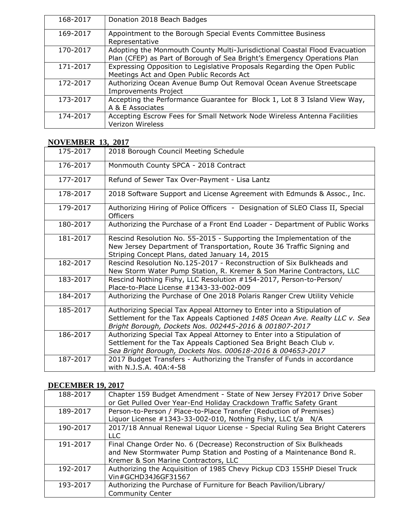| 168-2017 | Donation 2018 Beach Badges                                                 |
|----------|----------------------------------------------------------------------------|
| 169-2017 | Appointment to the Borough Special Events Committee Business               |
|          | Representative                                                             |
| 170-2017 | Adopting the Monmouth County Multi-Jurisdictional Coastal Flood Evacuation |
|          | Plan (CFEP) as Part of Borough of Sea Bright's Emergency Operations Plan   |
| 171-2017 | Expressing Opposition to Legislative Proposals Regarding the Open Public   |
|          | Meetings Act and Open Public Records Act                                   |
| 172-2017 | Authorizing Ocean Avenue Bump Out Removal Ocean Avenue Streetscape         |
|          | <b>Improvements Project</b>                                                |
| 173-2017 | Accepting the Performance Guarantee for Block 1, Lot 8 3 Island View Way,  |
|          | A & E Associates                                                           |
| 174-2017 | Accepting Escrow Fees for Small Network Node Wireless Antenna Facilities   |
|          | Verizon Wireless                                                           |

#### **NOVEMBER 13, 2017**

| 175-2017 | 2018 Borough Council Meeting Schedule                                                                                                                                                                          |
|----------|----------------------------------------------------------------------------------------------------------------------------------------------------------------------------------------------------------------|
| 176-2017 | Monmouth County SPCA - 2018 Contract                                                                                                                                                                           |
| 177-2017 | Refund of Sewer Tax Over-Payment - Lisa Lantz                                                                                                                                                                  |
| 178-2017 | 2018 Software Support and License Agreement with Edmunds & Assoc., Inc.                                                                                                                                        |
| 179-2017 | Authorizing Hiring of Police Officers - Designation of SLEO Class II, Special<br>Officers                                                                                                                      |
| 180-2017 | Authorizing the Purchase of a Front End Loader - Department of Public Works                                                                                                                                    |
| 181-2017 | Rescind Resolution No. 55-2015 - Supporting the Implementation of the<br>New Jersey Department of Transportation, Route 36 Traffic Signing and<br>Striping Concept Plans, dated January 14, 2015               |
| 182-2017 | Rescind Resolution No.125-2017 - Reconstruction of Six Bulkheads and<br>New Storm Water Pump Station, R. Kremer & Son Marine Contractors, LLC                                                                  |
| 183-2017 | Rescind Nothing Fishy, LLC Resolution #154-2017, Person-to-Person/<br>Place-to-Place License #1343-33-002-009                                                                                                  |
| 184-2017 | Authorizing the Purchase of One 2018 Polaris Ranger Crew Utility Vehicle                                                                                                                                       |
| 185-2017 | Authorizing Special Tax Appeal Attorney to Enter into a Stipulation of<br>Settlement for the Tax Appeals Captioned 1485 Ocean Ave. Realty LLC v. Sea<br>Bright Borough, Dockets Nos. 002445-2016 & 001807-2017 |
| 186-2017 | Authorizing Special Tax Appeal Attorney to Enter into a Stipulation of<br>Settlement for the Tax Appeals Captioned Sea Bright Beach Club v.<br>Sea Bright Borough, Dockets Nos. 000618-2016 & 004653-2017      |
| 187-2017 | 2017 Budget Transfers - Authorizing the Transfer of Funds in accordance<br>with N.J.S.A. 40A:4-58                                                                                                              |

## **DECEMBER 19, 2017**

| 188-2017 | Chapter 159 Budget Amendment - State of New Jersey FY2017 Drive Sober<br>or Get Pulled Over Year-End Holiday Crackdown Traffic Safety Grant                                         |
|----------|-------------------------------------------------------------------------------------------------------------------------------------------------------------------------------------|
| 189-2017 | Person-to-Person / Place-to-Place Transfer (Reduction of Premises)<br>Liquor License #1343-33-002-010, Nothing Fishy, LLC t/a N/A                                                   |
| 190-2017 | 2017/18 Annual Renewal Liquor License - Special Ruling Sea Bright Caterers<br>LLC.                                                                                                  |
| 191-2017 | Final Change Order No. 6 (Decrease) Reconstruction of Six Bulkheads<br>and New Stormwater Pump Station and Posting of a Maintenance Bond R.<br>Kremer & Son Marine Contractors, LLC |
| 192-2017 | Authorizing the Acquisition of 1985 Chevy Pickup CD3 155HP Diesel Truck<br>Vin#GCHD34J6GF31567                                                                                      |
| 193-2017 | Authorizing the Purchase of Furniture for Beach Pavilion/Library/<br><b>Community Center</b>                                                                                        |